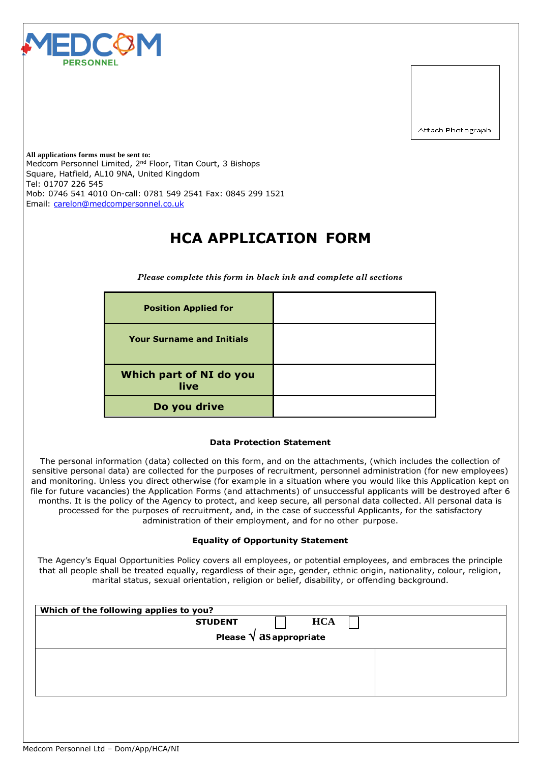

Attach Photograph

**All applications forms must be sent to:** Medcom Personnel Limited, 2<sup>nd</sup> Floor, Titan Court, 3 Bishops Square, Hatfield, AL10 9NA, United Kingdom Tel: 01707 226 545 Mob: 0746 541 4010 On-call: 0781 549 2541 Fax: 0845 299 1521 Email: [carelon@medcompersonnel.co.uk](mailto:carelon@medcompersonnel.co.uk)

# **HCA APPLICATION FORM**

*Please complete this form in black ink and complete all sections*

| <b>Position Applied for</b>      |  |
|----------------------------------|--|
| <b>Your Surname and Initials</b> |  |
| Which part of NI do you<br>live  |  |
| Do you drive                     |  |

### **Data Protection Statement**

The personal information (data) collected on this form, and on the attachments, (which includes the collection of sensitive personal data) are collected for the purposes of recruitment, personnel administration (for new employees) and monitoring. Unless you direct otherwise (for example in a situation where you would like this Application kept on file for future vacancies) the Application Forms (and attachments) of unsuccessful applicants will be destroyed after 6 months. It is the policy of the Agency to protect, and keep secure, all personal data collected. All personal data is processed for the purposes of recruitment, and, in the case of successful Applicants, for the satisfactory administration of their employment, and for no other purpose.

#### **Equality of Opportunity Statement**

The Agency's Equal Opportunities Policy covers all employees, or potential employees, and embraces the principle that all people shall be treated equally, regardless of their age, gender, ethnic origin, nationality, colour, religion, marital status, sexual orientation, religion or belief, disability, or offending background.

| Which of the following applies to you? |  |
|----------------------------------------|--|
| <b>HCA</b><br><b>STUDENT</b>           |  |
| Please $\sqrt{as}$ appropriate         |  |
|                                        |  |
|                                        |  |
|                                        |  |
|                                        |  |
|                                        |  |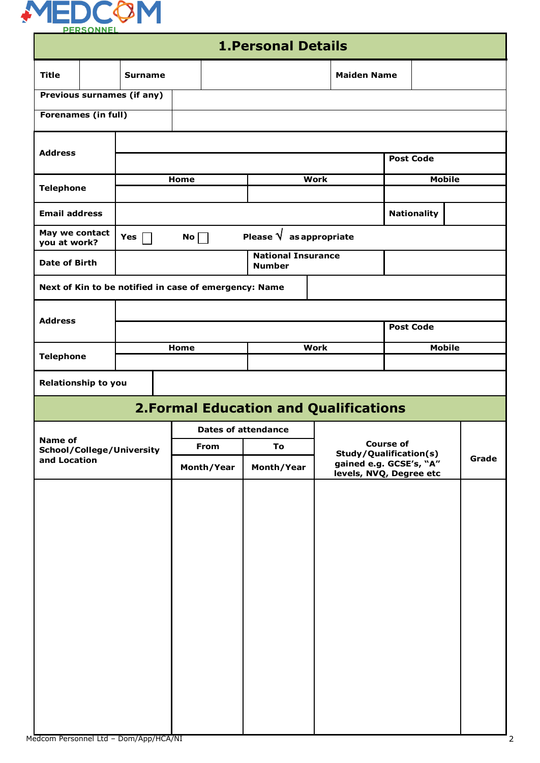

|                                |  |                                                       |      |                     | <b>1. Personal Details</b>                   |                                                                       |                         |                  |                    |               |  |
|--------------------------------|--|-------------------------------------------------------|------|---------------------|----------------------------------------------|-----------------------------------------------------------------------|-------------------------|------------------|--------------------|---------------|--|
| <b>Title</b>                   |  | <b>Surname</b>                                        |      |                     |                                              |                                                                       | <b>Maiden Name</b>      |                  |                    |               |  |
|                                |  | <b>Previous surnames (if any)</b>                     |      |                     |                                              |                                                                       |                         |                  |                    |               |  |
| <b>Forenames (in full)</b>     |  |                                                       |      |                     |                                              |                                                                       |                         |                  |                    |               |  |
|                                |  |                                                       |      |                     |                                              |                                                                       |                         |                  |                    |               |  |
| <b>Address</b>                 |  |                                                       |      |                     |                                              |                                                                       |                         | <b>Post Code</b> |                    |               |  |
| <b>Telephone</b>               |  |                                                       | Home |                     |                                              | <b>Work</b>                                                           |                         |                  |                    | <b>Mobile</b> |  |
| <b>Email address</b>           |  |                                                       |      |                     |                                              |                                                                       |                         |                  | <b>Nationality</b> |               |  |
| May we contact<br>you at work? |  | Yes                                                   | No   |                     | Please $\sqrt{ }$ as appropriate             |                                                                       |                         |                  |                    |               |  |
| <b>Date of Birth</b>           |  |                                                       |      |                     | <b>National Insurance</b><br><b>Number</b>   |                                                                       |                         |                  |                    |               |  |
|                                |  | Next of Kin to be notified in case of emergency: Name |      |                     |                                              |                                                                       |                         |                  |                    |               |  |
|                                |  |                                                       |      |                     |                                              |                                                                       |                         |                  |                    |               |  |
| <b>Address</b>                 |  |                                                       |      |                     |                                              |                                                                       |                         | <b>Post Code</b> |                    |               |  |
| <b>Telephone</b>               |  |                                                       |      | Home<br><b>Work</b> |                                              |                                                                       |                         | <b>Mobile</b>    |                    |               |  |
|                                |  |                                                       |      |                     |                                              |                                                                       |                         |                  |                    |               |  |
| <b>Relationship to you</b>     |  |                                                       |      |                     |                                              |                                                                       |                         |                  |                    |               |  |
|                                |  |                                                       |      |                     | <b>2.Formal Education and Qualifications</b> |                                                                       |                         |                  |                    |               |  |
| <b>Name of</b>                 |  |                                                       |      |                     | <b>Dates of attendance</b>                   |                                                                       |                         |                  |                    |               |  |
| and Location                   |  | School/College/University                             |      | From                | To<br>Month/Year                             | <b>Course of</b><br>Study/Qualification(s)<br>gained e.g. GCSE's, "A" |                         |                  |                    | Grade         |  |
|                                |  |                                                       |      | Month/Year          |                                              |                                                                       | levels, NVQ, Degree etc |                  |                    |               |  |
|                                |  |                                                       |      |                     |                                              |                                                                       |                         |                  |                    |               |  |
|                                |  |                                                       |      |                     |                                              |                                                                       |                         |                  |                    |               |  |
|                                |  |                                                       |      |                     |                                              |                                                                       |                         |                  |                    |               |  |
|                                |  |                                                       |      |                     |                                              |                                                                       |                         |                  |                    |               |  |
|                                |  |                                                       |      |                     |                                              |                                                                       |                         |                  |                    |               |  |
|                                |  |                                                       |      |                     |                                              |                                                                       |                         |                  |                    |               |  |
|                                |  |                                                       |      |                     |                                              |                                                                       |                         |                  |                    |               |  |
|                                |  |                                                       |      |                     |                                              |                                                                       |                         |                  |                    |               |  |
|                                |  |                                                       |      |                     |                                              |                                                                       |                         |                  |                    |               |  |
|                                |  |                                                       |      |                     |                                              |                                                                       |                         |                  |                    |               |  |
|                                |  |                                                       |      |                     |                                              |                                                                       |                         |                  |                    |               |  |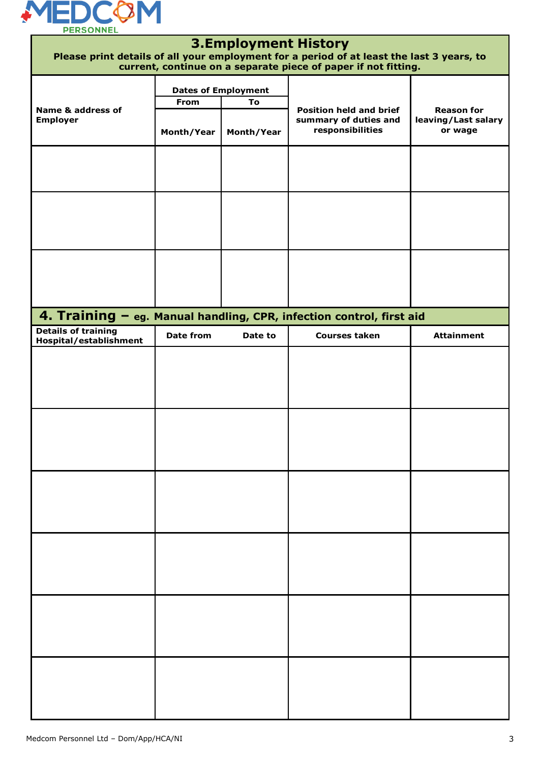

|                                                      |                    | <b>3.Employment History</b> | Please print details of all your employment for a period of at least the last 3 years, to<br>current, continue on a separate piece of paper if not fitting. |                                                     |
|------------------------------------------------------|--------------------|-----------------------------|-------------------------------------------------------------------------------------------------------------------------------------------------------------|-----------------------------------------------------|
|                                                      |                    | <b>Dates of Employment</b>  |                                                                                                                                                             |                                                     |
| Name & address of<br><b>Employer</b>                 | From<br>Month/Year | To<br>Month/Year            | <b>Position held and brief</b><br>summary of duties and<br>responsibilities                                                                                 | <b>Reason for</b><br>leaving/Last salary<br>or wage |
|                                                      |                    |                             |                                                                                                                                                             |                                                     |
|                                                      |                    |                             |                                                                                                                                                             |                                                     |
|                                                      |                    |                             |                                                                                                                                                             |                                                     |
|                                                      |                    |                             | 4. Training - eg. Manual handling, CPR, infection control, first aid                                                                                        |                                                     |
| <b>Details of training</b><br>Hospital/establishment | <b>Date from</b>   | Date to                     | <b>Courses taken</b>                                                                                                                                        | <b>Attainment</b>                                   |
|                                                      |                    |                             |                                                                                                                                                             |                                                     |
|                                                      |                    |                             |                                                                                                                                                             |                                                     |
|                                                      |                    |                             |                                                                                                                                                             |                                                     |
|                                                      |                    |                             |                                                                                                                                                             |                                                     |
|                                                      |                    |                             |                                                                                                                                                             |                                                     |
|                                                      |                    |                             |                                                                                                                                                             |                                                     |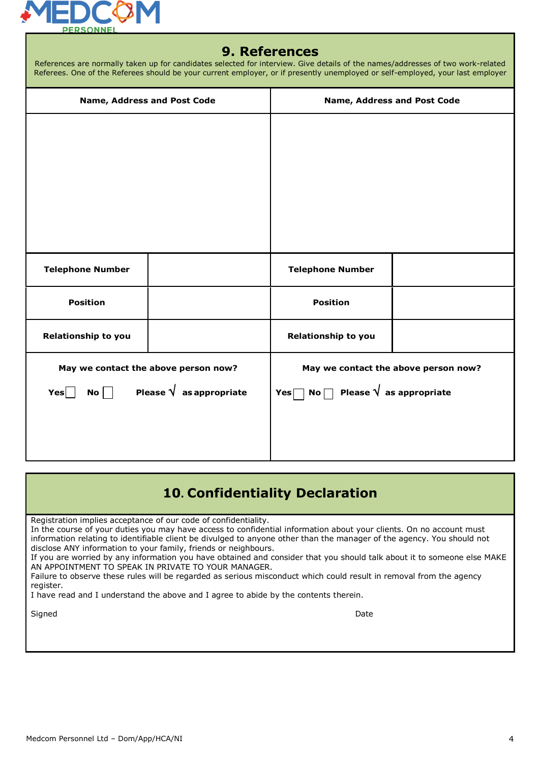

### **9. References**

|                         | References are normally taken up for candidates selected for interview. Give details of the names/addresses of two work-related<br>Referees. One of the Referees should be your current employer, or if presently unemployed or self-employed, your last employer |                                                        |                                      |
|-------------------------|-------------------------------------------------------------------------------------------------------------------------------------------------------------------------------------------------------------------------------------------------------------------|--------------------------------------------------------|--------------------------------------|
|                         | Name, Address and Post Code                                                                                                                                                                                                                                       |                                                        | Name, Address and Post Code          |
|                         |                                                                                                                                                                                                                                                                   |                                                        |                                      |
| <b>Telephone Number</b> |                                                                                                                                                                                                                                                                   | <b>Telephone Number</b>                                |                                      |
| <b>Position</b>         |                                                                                                                                                                                                                                                                   | <b>Position</b>                                        |                                      |
| Relationship to you     |                                                                                                                                                                                                                                                                   | Relationship to you                                    |                                      |
| Yes<br>$\mathsf{No}$    | May we contact the above person now?<br>Please $\sqrt{\phantom{a}}$ as appropriate                                                                                                                                                                                | Yes $\Box$ No $\Box$ Please $\sqrt{\ }$ as appropriate | May we contact the above person now? |

## **10. Confidentiality Declaration**

Registration implies acceptance of our code of confidentiality.

In the course of your duties you may have access to confidential information about your clients. On no account must information relating to identifiable client be divulged to anyone other than the manager of the agency. You should not disclose ANY information to your family, friends or neighbours.

If you are worried by any information you have obtained and consider that you should talk about it to someone else MAKE AN APPOINTMENT TO SPEAK IN PRIVATE TO YOUR MANAGER.

Failure to observe these rules will be regarded as serious misconduct which could result in removal from the agency register.

I have read and I understand the above and I agree to abide by the contents therein.

Signed Date and Date of the Signed Date of the Signed Date of the Date of the Date of the Date of the Date of the Date of the Date of the Date of the Date of the Date of the Date of the Date of the Date of the Date of the